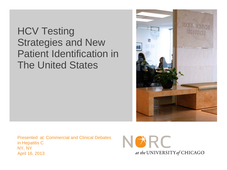### HCV Testing Strategies and New Patient Identification in The United States



Presented at: Commercial and Clinical Debates in Hepatitis C NY, NY April 16, 2013

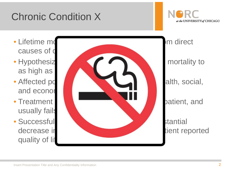# Chronic Condition X

- causes of d
- as high as
- and econor
- usually fails
- quality of lit



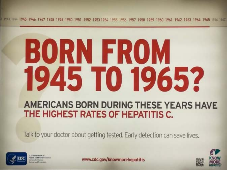1946 1947 1948 1949 1950 1951 1952 1953 1954 1955 1956 1957 1958 1959 1960 1961 1962 1963 1964 1965

# BORN FROM **1945 TO 1965?**

#### **AMERICANS BORN DURING THESE YEARS HAVE** THE HIGHEST RATES OF HEPATITIS C.

Talk to your doctor about getting tested. Early detection can save lives.



Designations of the

www.cdc.gov/knowmorehepatitis

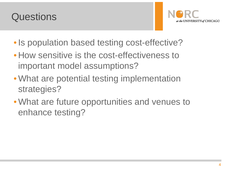# **Questions**



- •Is population based testing cost-effective?
- How sensitive is the cost-effectiveness to important model assumptions?
- What are potential testing implementation strategies?
- What are future opportunities and venues to enhance testing?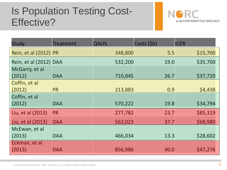### Is Population Testing Cost-Effective?



| <b>Study</b>             | <b>Treatment</b> | <b>QALYs</b> | Costs (\$b) | <b>ICER</b> |
|--------------------------|------------------|--------------|-------------|-------------|
| Rein, et al (2012) PR    |                  | 348,800      | 5.5         | \$15,700    |
| Rein, et al (2012) DAA   |                  | 532,200      | 19.0        | \$35,700    |
| McGarry, et al<br>(2012) | <b>DAA</b>       | 710,845      | 26.7        | \$37,720    |
| Coffin, et al<br>(2012)  | <b>PR</b>        | 213,883      | 0.9         | \$4,438     |
| Coffin, et al<br>(2012)  | <b>DAA</b>       | 570,222      | 19.8        | \$34,794    |
| Liu, et al (2013)        | <b>PR</b>        | 277,782      | 23.7        | \$85,319    |
| Liu, et al (2013)        | <b>DAA</b>       | 562,023      | 37.7        | \$68,980    |
| McEwan, et al<br>(2013)  | <b>DAA</b>       | 466,034      | 13.3        | \$28,602    |
| Eckman, et al<br>(2013)  | <b>DAA</b>       | 856,986      | 40.0        | \$47,276    |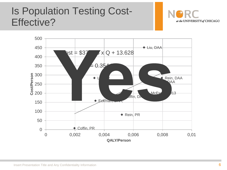#### Is Population Testing Cost-Effective?



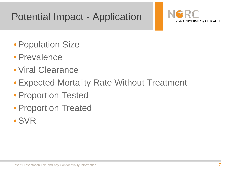Potential Impact - Application



- •Population Size
- •Prevalence
- •Viral Clearance
- •Expected Mortality Rate Without Treatment
- •Proportion Tested
- •Proportion Treated
- •SVR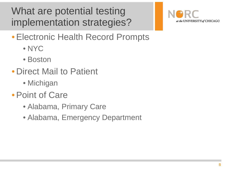# What are potential testing implementation strategies?



- •Electronic Health Record Prompts
	- NYC
	- Boston
- Direct Mail to Patient
	- Michigan
- •Point of Care
	- Alabama, Primary Care
	- Alabama, Emergency Department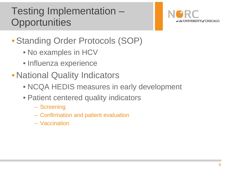# Testing Implementation – **Opportunities**



- Standing Order Protocols (SOP)
	- No examples in HCV
	- Influenza experience
- National Quality Indicators
	- NCQA HEDIS measures in early development
	- Patient centered quality indicators
		- Screening
		- Confirmation and patient evaluation
		- Vaccination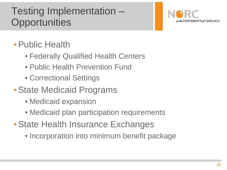# Testing Implementation – **Opportunities**



- •Public Health
	- Federally Qualified Health Centers
	- Public Health Prevention Fund
	- Correctional Settings
- •State Medicaid Programs
	- Medicaid expansion
	- Medicaid plan participation requirements
- State Health Insurance Exchanges
	- Incorporation into minimum benefit package